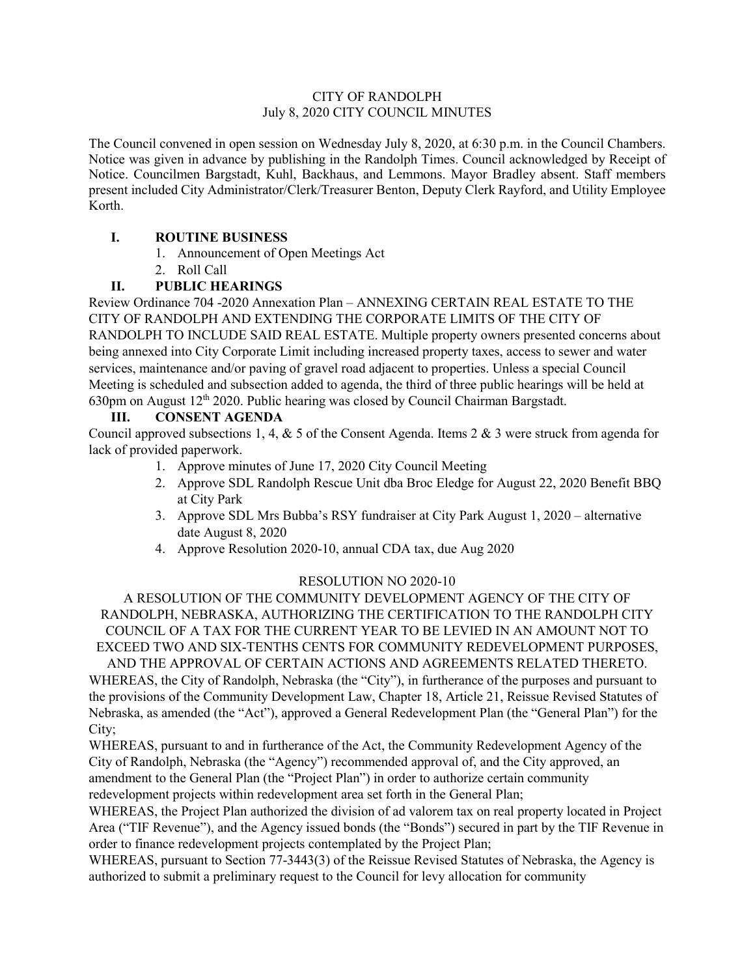### CITY OF RANDOLPH July 8, 2020 CITY COUNCIL MINUTES

The Council convened in open session on Wednesday July 8, 2020, at 6:30 p.m. in the Council Chambers. Notice was given in advance by publishing in the Randolph Times. Council acknowledged by Receipt of Notice. Councilmen Bargstadt, Kuhl, Backhaus, and Lemmons. Mayor Bradley absent. Staff members present included City Administrator/Clerk/Treasurer Benton, Deputy Clerk Rayford, and Utility Employee Korth.

# **I. ROUTINE BUSINESS**

- 1. Announcement of Open Meetings Act
- 2. Roll Call

# **II. PUBLIC HEARINGS**

Review Ordinance 704 -2020 Annexation Plan – ANNEXING CERTAIN REAL ESTATE TO THE CITY OF RANDOLPH AND EXTENDING THE CORPORATE LIMITS OF THE CITY OF RANDOLPH TO INCLUDE SAID REAL ESTATE. Multiple property owners presented concerns about being annexed into City Corporate Limit including increased property taxes, access to sewer and water services, maintenance and/or paving of gravel road adjacent to properties. Unless a special Council Meeting is scheduled and subsection added to agenda, the third of three public hearings will be held at 630pm on August 12th 2020. Public hearing was closed by Council Chairman Bargstadt.

# **III. CONSENT AGENDA**

Council approved subsections 1, 4, & 5 of the Consent Agenda. Items 2 & 3 were struck from agenda for lack of provided paperwork.

- 1. Approve minutes of June 17, 2020 City Council Meeting
- 2. Approve SDL Randolph Rescue Unit dba Broc Eledge for August 22, 2020 Benefit BBQ at City Park
- 3. Approve SDL Mrs Bubba's RSY fundraiser at City Park August 1, 2020 alternative date August 8, 2020
- 4. Approve Resolution 2020-10, annual CDA tax, due Aug 2020

## RESOLUTION NO 2020-10

A RESOLUTION OF THE COMMUNITY DEVELOPMENT AGENCY OF THE CITY OF RANDOLPH, NEBRASKA, AUTHORIZING THE CERTIFICATION TO THE RANDOLPH CITY COUNCIL OF A TAX FOR THE CURRENT YEAR TO BE LEVIED IN AN AMOUNT NOT TO EXCEED TWO AND SIX-TENTHS CENTS FOR COMMUNITY REDEVELOPMENT PURPOSES,

AND THE APPROVAL OF CERTAIN ACTIONS AND AGREEMENTS RELATED THERETO. WHEREAS, the City of Randolph, Nebraska (the "City"), in furtherance of the purposes and pursuant to the provisions of the Community Development Law, Chapter 18, Article 21, Reissue Revised Statutes of Nebraska, as amended (the "Act"), approved a General Redevelopment Plan (the "General Plan") for the City;

WHEREAS, pursuant to and in furtherance of the Act, the Community Redevelopment Agency of the City of Randolph, Nebraska (the "Agency") recommended approval of, and the City approved, an amendment to the General Plan (the "Project Plan") in order to authorize certain community redevelopment projects within redevelopment area set forth in the General Plan;

WHEREAS, the Project Plan authorized the division of ad valorem tax on real property located in Project Area ("TIF Revenue"), and the Agency issued bonds (the "Bonds") secured in part by the TIF Revenue in order to finance redevelopment projects contemplated by the Project Plan;

WHEREAS, pursuant to Section 77-3443(3) of the Reissue Revised Statutes of Nebraska, the Agency is authorized to submit a preliminary request to the Council for levy allocation for community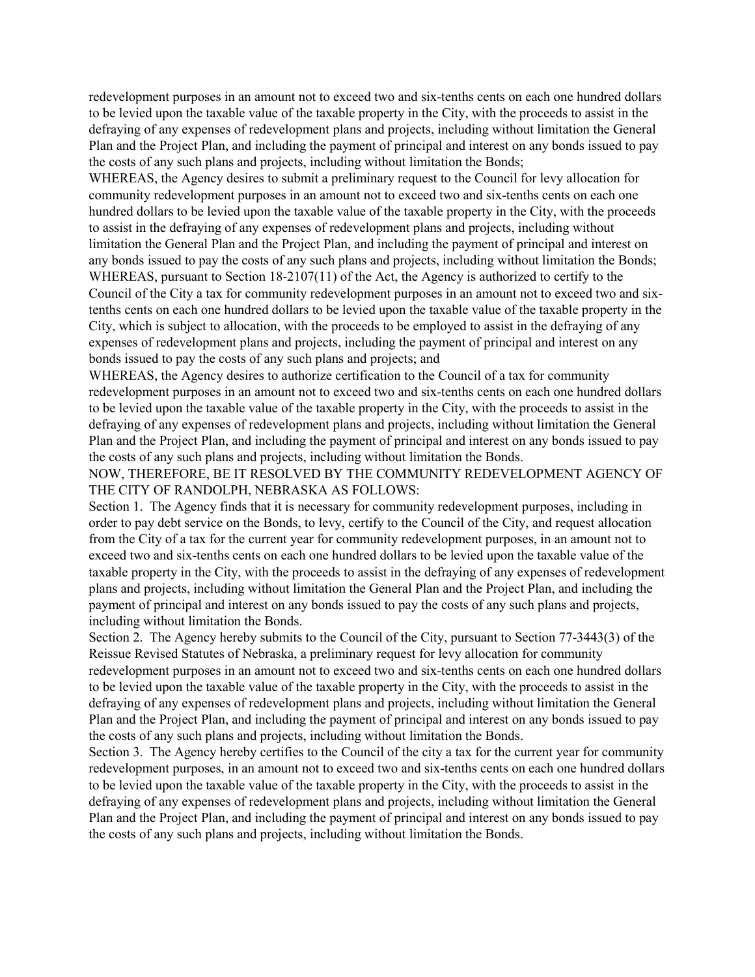redevelopment purposes in an amount not to exceed two and six-tenths cents on each one hundred dollars to be levied upon the taxable value of the taxable property in the City, with the proceeds to assist in the defraying of any expenses of redevelopment plans and projects, including without limitation the General Plan and the Project Plan, and including the payment of principal and interest on any bonds issued to pay the costs of any such plans and projects, including without limitation the Bonds;

WHEREAS, the Agency desires to submit a preliminary request to the Council for levy allocation for community redevelopment purposes in an amount not to exceed two and six-tenths cents on each one hundred dollars to be levied upon the taxable value of the taxable property in the City, with the proceeds to assist in the defraying of any expenses of redevelopment plans and projects, including without limitation the General Plan and the Project Plan, and including the payment of principal and interest on any bonds issued to pay the costs of any such plans and projects, including without limitation the Bonds; WHEREAS, pursuant to Section 18-2107(11) of the Act, the Agency is authorized to certify to the Council of the City a tax for community redevelopment purposes in an amount not to exceed two and sixtenths cents on each one hundred dollars to be levied upon the taxable value of the taxable property in the City, which is subject to allocation, with the proceeds to be employed to assist in the defraying of any expenses of redevelopment plans and projects, including the payment of principal and interest on any bonds issued to pay the costs of any such plans and projects; and

WHEREAS, the Agency desires to authorize certification to the Council of a tax for community redevelopment purposes in an amount not to exceed two and six-tenths cents on each one hundred dollars to be levied upon the taxable value of the taxable property in the City, with the proceeds to assist in the defraying of any expenses of redevelopment plans and projects, including without limitation the General Plan and the Project Plan, and including the payment of principal and interest on any bonds issued to pay the costs of any such plans and projects, including without limitation the Bonds.

NOW, THEREFORE, BE IT RESOLVED BY THE COMMUNITY REDEVELOPMENT AGENCY OF THE CITY OF RANDOLPH, NEBRASKA AS FOLLOWS:

Section 1. The Agency finds that it is necessary for community redevelopment purposes, including in order to pay debt service on the Bonds, to levy, certify to the Council of the City, and request allocation from the City of a tax for the current year for community redevelopment purposes, in an amount not to exceed two and six-tenths cents on each one hundred dollars to be levied upon the taxable value of the taxable property in the City, with the proceeds to assist in the defraying of any expenses of redevelopment plans and projects, including without limitation the General Plan and the Project Plan, and including the payment of principal and interest on any bonds issued to pay the costs of any such plans and projects, including without limitation the Bonds.

Section 2. The Agency hereby submits to the Council of the City, pursuant to Section 77-3443(3) of the Reissue Revised Statutes of Nebraska, a preliminary request for levy allocation for community redevelopment purposes in an amount not to exceed two and six-tenths cents on each one hundred dollars to be levied upon the taxable value of the taxable property in the City, with the proceeds to assist in the defraying of any expenses of redevelopment plans and projects, including without limitation the General Plan and the Project Plan, and including the payment of principal and interest on any bonds issued to pay the costs of any such plans and projects, including without limitation the Bonds.

Section 3. The Agency hereby certifies to the Council of the city a tax for the current year for community redevelopment purposes, in an amount not to exceed two and six-tenths cents on each one hundred dollars to be levied upon the taxable value of the taxable property in the City, with the proceeds to assist in the defraying of any expenses of redevelopment plans and projects, including without limitation the General Plan and the Project Plan, and including the payment of principal and interest on any bonds issued to pay the costs of any such plans and projects, including without limitation the Bonds.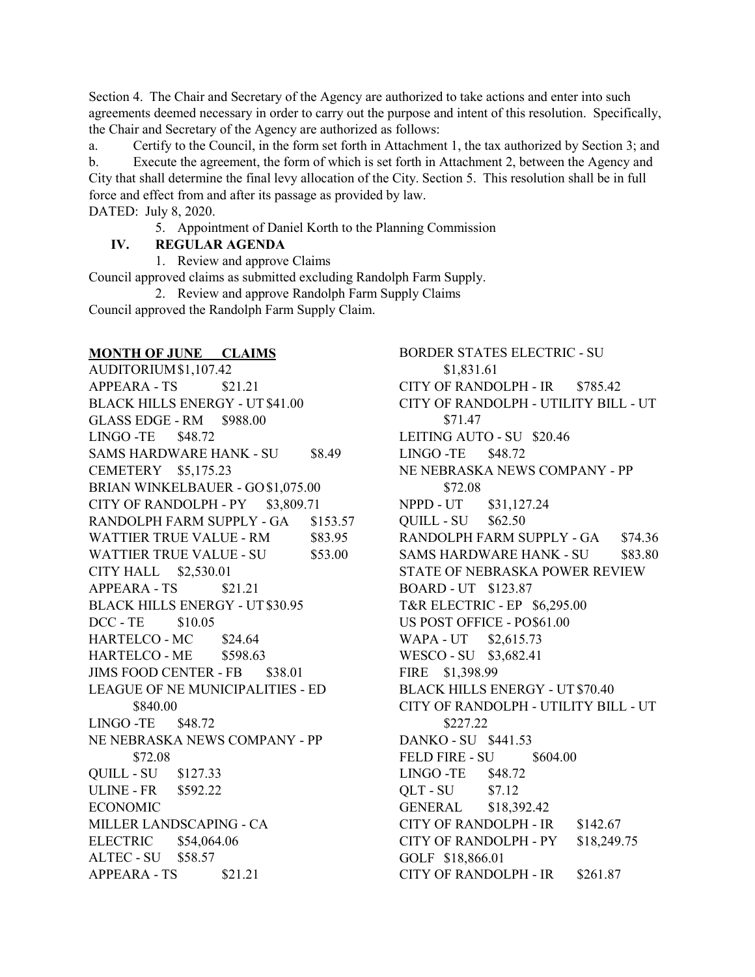Section 4. The Chair and Secretary of the Agency are authorized to take actions and enter into such agreements deemed necessary in order to carry out the purpose and intent of this resolution. Specifically, the Chair and Secretary of the Agency are authorized as follows:

a. Certify to the Council, in the form set forth in Attachment 1, the tax authorized by Section 3; and b. Execute the agreement, the form of which is set forth in Attachment 2, between the Agency and City that shall determine the final levy allocation of the City. Section 5. This resolution shall be in full force and effect from and after its passage as provided by law. DATED: July 8, 2020.

5. Appointment of Daniel Korth to the Planning Commission

## **IV. REGULAR AGENDA**

1. Review and approve Claims

Council approved claims as submitted excluding Randolph Farm Supply.

2. Review and approve Randolph Farm Supply Claims Council approved the Randolph Farm Supply Claim.

## **MONTH OF JUNE CLAIMS**

AUDITORIUM\$1,107.42 APPEARA - TS \$21.21 BLACK HILLS ENERGY - UT\$41.00 GLASS EDGE - RM \$988.00 LINGO -TE \$48.72 SAMS HARDWARE HANK - SU \$8.49 CEMETERY \$5,175.23 BRIAN WINKELBAUER - GO\$1,075.00 CITY OF RANDOLPH -  $PY$  \$3,809.71 RANDOLPH FARM SUPPLY - GA \$153.57 WATTIER TRUE VALUE - RM \$83.95 WATTIER TRUE VALUE - SU \$53.00 CITY HALL \$2,530.01  $APPEARA - TS$  \$21.21 BLACK HILLS ENERGY - UT\$30.95 DCC - TE \$10.05 HARTELCO - MC \$24.64 HARTELCO - ME \$598.63 JIMS FOOD CENTER - FB \$38.01 LEAGUE OF NE MUNICIPALITIES - ED \$840.00  $LINGO - TE$  \$48.72 NE NEBRASKA NEWS COMPANY - PP \$72.08 QUILL - SU \$127.33 ULINE - FR \$592.22 ECONOMIC MILLER LANDSCAPING - CA ELECTRIC \$54,064.06 ALTEC - SU \$58.57  $APPEARA - TS$  \$21.21

BORDER STATES ELECTRIC - SU \$1,831.61 CITY OF RANDOLPH - IR \$785.42 CITY OF RANDOLPH - UTILITY BILL - UT \$71.47 LEITING AUTO - SU \$20.46 LINGO -TE \$48.72 NE NEBRASKA NEWS COMPANY - PP \$72.08 NPPD - UT \$31,127.24 QUILL - SU \$62.50 RANDOLPH FARM SUPPLY - GA \$74.36 SAMS HARDWARE HANK - SU \$83.80 STATE OF NEBRASKA POWER REVIEW BOARD - UT \$123.87 T&R ELECTRIC - EP \$6,295.00 US POST OFFICE - PO\$61.00 WAPA - UT \$2,615.73 WESCO - SU \$3,682.41 FIRE \$1,398.99 BLACK HILLS ENERGY - UT\$70.40 CITY OF RANDOLPH - UTILITY BILL - UT \$227.22 DANKO - SU \$441.53 FELD FIRE - SU \$604.00 LINGO -TE \$48.72 QLT - SU \$7.12 GENERAL \$18,392.42 CITY OF RANDOLPH - IR \$142.67 CITY OF RANDOLPH - PY \$18,249.75 GOLF \$18,866.01 CITY OF RANDOLPH - IR \$261.87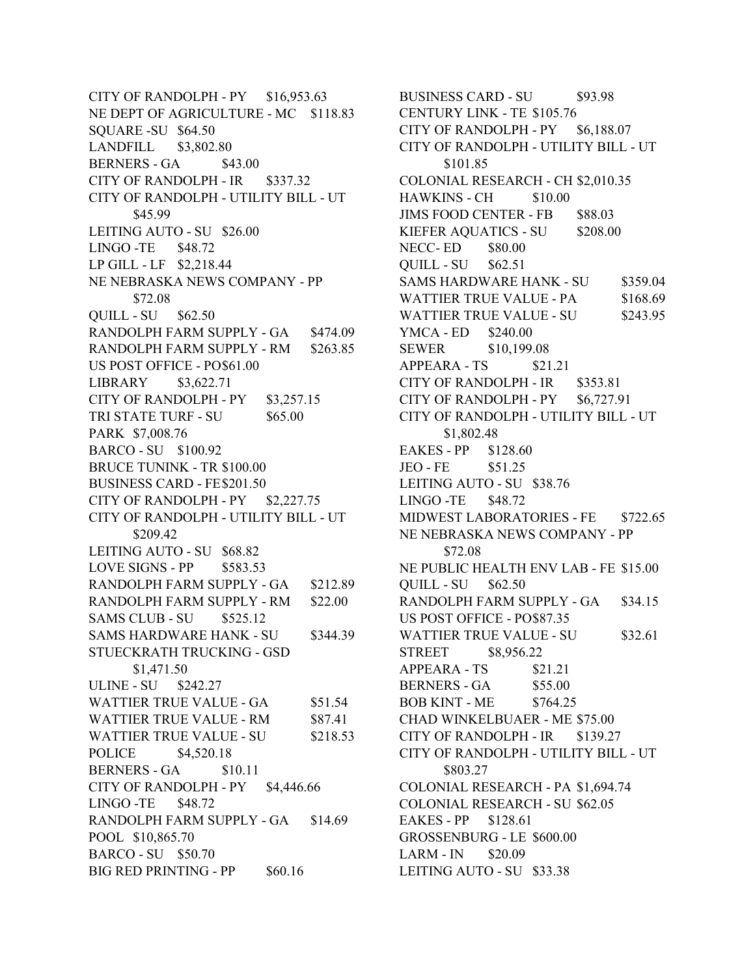CITY OF RANDOLPH - PY \$16,953.63 NE DEPT OF AGRICULTURE - MC \$118.83 SQUARE -SU \$64.50 LANDFILL \$3,802.80 BERNERS - GA \$43.00 CITY OF RANDOLPH - IR \$337.32 CITY OF RANDOLPH - UTILITY BILL - UT \$45.99 LEITING AUTO - SU \$26.00 LINGO -TE \$48.72 LP GILL - LF \$2,218.44 NE NEBRASKA NEWS COMPANY - PP \$72.08 QUILL - SU \$62.50 RANDOLPH FARM SUPPLY - GA \$474.09 RANDOLPH FARM SUPPLY - RM \$263.85 US POST OFFICE - PO\$61.00 LIBRARY \$3,622.71 CITY OF RANDOLPH -  $PY$  \$3,257.15 TRI STATE TURF - SU \$65.00 PARK \$7,008.76 BARCO - SU \$100.92 BRUCE TUNINK - TR \$100.00 BUSINESS CARD - FE\$201.50 CITY OF RANDOLPH - PY \$2,227.75 CITY OF RANDOLPH - UTILITY BILL - UT \$209.42 LEITING AUTO - SU \$68.82 LOVE SIGNS - PP \$583.53 RANDOLPH FARM SUPPLY - GA \$212.89 RANDOLPH FARM SUPPLY - RM \$22.00 SAMS CLUB - SU \$525.12 SAMS HARDWARE HANK - SU \$344.39 STUECKRATH TRUCKING - GSD \$1,471.50 ULINE - SU \$242.27 WATTIER TRUE VALUE - GA \$51.54 WATTIER TRUE VALUE - RM \$87.41 WATTIER TRUE VALUE - SU \$218.53 POLICE \$4,520.18 BERNERS - GA \$10.11 CITY OF RANDOLPH - PY \$4,446.66 LINGO -TE \$48.72 RANDOLPH FARM SUPPLY - GA \$14.69 POOL \$10,865.70 BARCO - SU \$50.70 BIG RED PRINTING - PP \$60.16

BUSINESS CARD - SU \$93.98 CENTURY LINK - TE \$105.76 CITY OF RANDOLPH -  $PY$  \$6,188.07 CITY OF RANDOLPH - UTILITY BILL - UT \$101.85 COLONIAL RESEARCH - CH \$2,010.35 HAWKINS - CH \$10.00 JIMS FOOD CENTER - FB \$88.03 KIEFER AQUATICS - SU \$208.00 NECC- ED \$80.00 QUILL - SU \$62.51 SAMS HARDWARE HANK - SU \$359.04 WATTIER TRUE VALUE - PA \$168.69 WATTIER TRUE VALUE - SU \$243.95 YMCA - ED \$240.00 SEWER \$10,199.08 APPEARA - TS \$21.21 CITY OF RANDOLPH - IR \$353.81 CITY OF RANDOLPH - PY \$6,727.91 CITY OF RANDOLPH - UTILITY BILL - UT \$1,802.48 EAKES - PP \$128.60 JEO - FE \$51.25 LEITING AUTO - SU \$38.76 LINGO -TE \$48.72 MIDWEST LABORATORIES - FE \$722.65 NE NEBRASKA NEWS COMPANY - PP \$72.08 NE PUBLIC HEALTH ENV LAB - FE \$15.00 QUILL - SU \$62.50 RANDOLPH FARM SUPPLY - GA \$34.15 US POST OFFICE - PO\$87.35 WATTIER TRUE VALUE - SU \$32.61 STREET \$8,956.22 APPEARA - TS \$21.21 BERNERS - GA \$55.00 BOB KINT - ME \$764.25 CHAD WINKELBUAER - ME \$75.00 CITY OF RANDOLPH - IR \$139.27 CITY OF RANDOLPH - UTILITY BILL - UT \$803.27 COLONIAL RESEARCH - PA \$1,694.74 COLONIAL RESEARCH - SU \$62.05 EAKES - PP \$128.61 GROSSENBURG - LE \$600.00 LARM - IN \$20.09 LEITING AUTO - SU \$33.38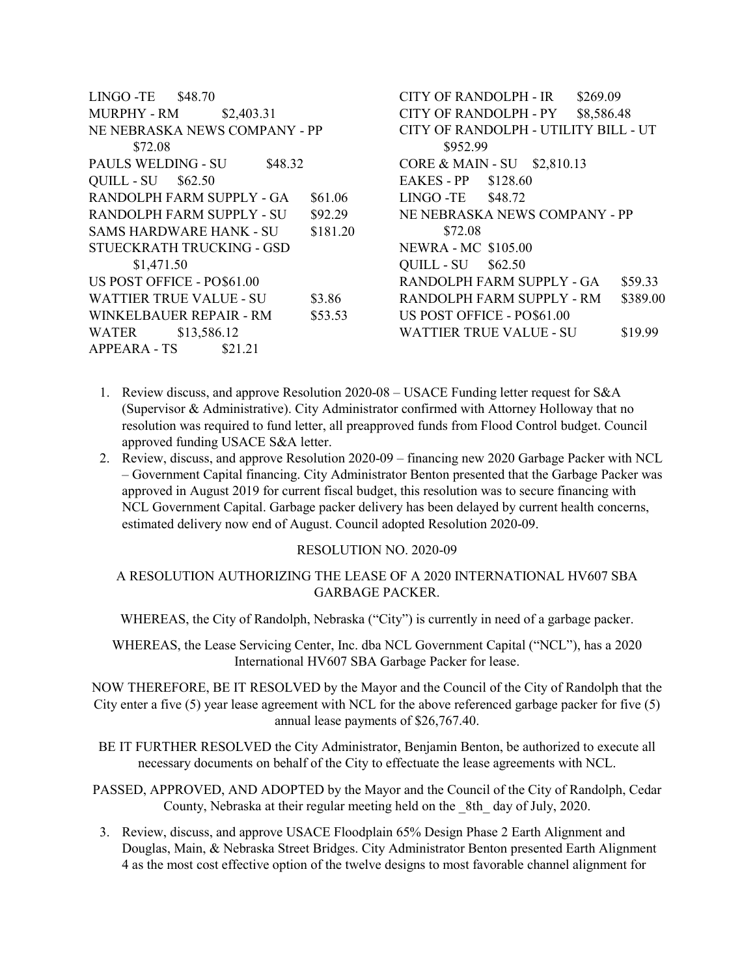| LINGO-TE<br>\$48.70            |          | CITY OF RANDOLPH - IR                |                                | \$269.09   |          |
|--------------------------------|----------|--------------------------------------|--------------------------------|------------|----------|
| \$2,403.31<br>MURPHY - RM      |          | <b>CITY OF RANDOLPH - PY</b>         |                                | \$8,586.48 |          |
| NE NEBRASKA NEWS COMPANY - PP  |          | CITY OF RANDOLPH - UTILITY BILL - UT |                                |            |          |
| \$72.08                        |          | \$952.99                             |                                |            |          |
| PAULS WELDING - SU<br>\$48.32  |          | CORE & MAIN - SU \$2,810.13          |                                |            |          |
| QUILL - SU<br>\$62.50          |          | <b>EAKES - PP</b>                    | \$128.60                       |            |          |
| RANDOLPH FARM SUPPLY - GA      | \$61.06  | LINGO -TE                            | \$48.72                        |            |          |
| RANDOLPH FARM SUPPLY - SU      | \$92.29  |                                      | NE NEBRASKA NEWS COMPANY - PP  |            |          |
| <b>SAMS HARDWARE HANK - SU</b> | \$181.20 | \$72.08                              |                                |            |          |
| STUECKRATH TRUCKING - GSD      |          | <b>NEWRA - MC \$105.00</b>           |                                |            |          |
| \$1,471.50                     |          | QUILL - SU                           | \$62.50                        |            |          |
| US POST OFFICE - PO\$61.00     |          |                                      | RANDOLPH FARM SUPPLY - GA      |            | \$59.33  |
| <b>WATTIER TRUE VALUE - SU</b> | \$3.86   |                                      | RANDOLPH FARM SUPPLY - RM      |            | \$389.00 |
| <b>WINKELBAUER REPAIR - RM</b> | \$53.53  |                                      | US POST OFFICE - PO\$61.00     |            |          |
| WATER<br>\$13,586.12           |          |                                      | <b>WATTIER TRUE VALUE - SU</b> |            | \$19.99  |
| <b>APPEARA - TS</b><br>\$21.21 |          |                                      |                                |            |          |

- 1. Review discuss, and approve Resolution 2020-08 USACE Funding letter request for S&A (Supervisor & Administrative). City Administrator confirmed with Attorney Holloway that no resolution was required to fund letter, all preapproved funds from Flood Control budget. Council approved funding USACE S&A letter.
- 2. Review, discuss, and approve Resolution 2020-09 financing new 2020 Garbage Packer with NCL – Government Capital financing. City Administrator Benton presented that the Garbage Packer was approved in August 2019 for current fiscal budget, this resolution was to secure financing with NCL Government Capital. Garbage packer delivery has been delayed by current health concerns, estimated delivery now end of August. Council adopted Resolution 2020-09.

#### RESOLUTION NO. 2020-09

#### A RESOLUTION AUTHORIZING THE LEASE OF A 2020 INTERNATIONAL HV607 SBA GARBAGE PACKER.

WHEREAS, the City of Randolph, Nebraska ("City") is currently in need of a garbage packer.

WHEREAS, the Lease Servicing Center, Inc. dba NCL Government Capital ("NCL"), has a 2020 International HV607 SBA Garbage Packer for lease.

NOW THEREFORE, BE IT RESOLVED by the Mayor and the Council of the City of Randolph that the City enter a five (5) year lease agreement with NCL for the above referenced garbage packer for five (5) annual lease payments of \$26,767.40.

BE IT FURTHER RESOLVED the City Administrator, Benjamin Benton, be authorized to execute all necessary documents on behalf of the City to effectuate the lease agreements with NCL.

PASSED, APPROVED, AND ADOPTED by the Mayor and the Council of the City of Randolph, Cedar County, Nebraska at their regular meeting held on the \_8th\_ day of July, 2020.

3. Review, discuss, and approve USACE Floodplain 65% Design Phase 2 Earth Alignment and Douglas, Main, & Nebraska Street Bridges. City Administrator Benton presented Earth Alignment 4 as the most cost effective option of the twelve designs to most favorable channel alignment for